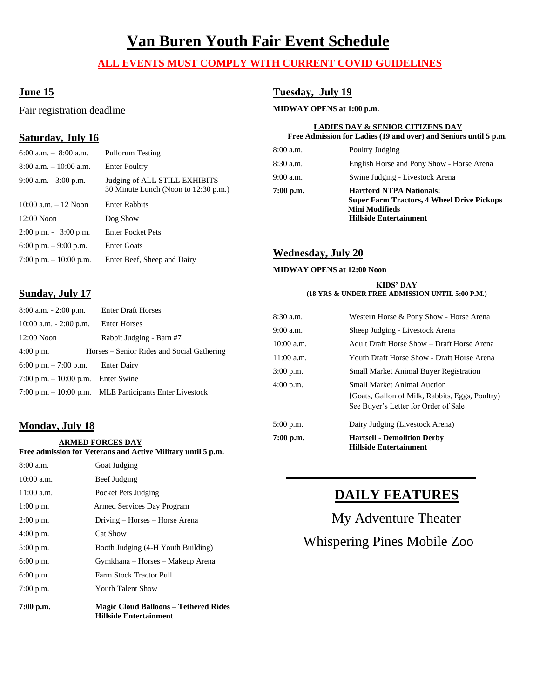# **Van Buren Youth Fair Event Schedule**

# **ALL EVENTS MUST COMPLY WITH CURRENT COVID GUIDELINES**

# **June 15**

Fair registration deadline

# **Saturday, July 16**

# 6:00 a.m. – 8:00 a.m. Pullorum Testing 8:00 a.m. – 10:00 a.m. Enter Poultry 9:00 a.m. - 3:00 p.m. Judging of ALL STILL EXHIBITS 30 Minute Lunch (Noon to 12:30 p.m.) 10:00 a.m. – 12 Noon Enter Rabbits 12:00 Noon Dog Show 2:00 p.m. - 3:00 p.m. Enter Pocket Pets 6:00 p.m. – 9:00 p.m. Enter Goats 7:00 p.m. – 10:00 p.m. Enter Beef, Sheep and Dairy

# **Tuesday, July 19**

#### **MIDWAY OPENS at 1:00 p.m.**

#### **LADIES DAY & SENIOR CITIZENS DAY Free Admission for Ladies (19 and over) and Seniors until 5 p.m.**

| $7:00$ p.m. | <b>Hartford NTPA Nationals:</b><br><b>Super Farm Tractors, 4 Wheel Drive Pickups</b><br><b>Mini Modifieds</b><br><b>Hillside Entertainment</b> |
|-------------|------------------------------------------------------------------------------------------------------------------------------------------------|
| $9:00$ a.m. | Swine Judging - Livestock Arena                                                                                                                |
| $8:30$ a.m. | English Horse and Pony Show - Horse Arena                                                                                                      |
| $8:00$ a.m. | Poultry Judging                                                                                                                                |
|             |                                                                                                                                                |

## **Wednesday, July 20**

#### **MIDWAY OPENS at 12:00 Noon**

#### **KIDS' DAY (18 YRS & UNDER FREE ADMISSION UNTIL 5:00 P.M.)**

| <b>Enter Draft Horses</b>                                                                                                                                     |              |                                                                                                                               |
|---------------------------------------------------------------------------------------------------------------------------------------------------------------|--------------|-------------------------------------------------------------------------------------------------------------------------------|
| <b>Enter Horses</b><br>Rabbit Judging - Barn #7<br>Horses – Senior Rides and Social Gathering<br><b>Enter Dairy</b><br>7:00 p.m. $-10:00$ p.m.<br>Enter Swine |              | Western Horse & Pony Show - Horse Arena                                                                                       |
|                                                                                                                                                               | $9:00$ a.m.  | Sheep Judging - Livestock Arena                                                                                               |
|                                                                                                                                                               | $10:00$ a.m. | Adult Draft Horse Show – Draft Horse Arena                                                                                    |
|                                                                                                                                                               | $11:00$ a.m. | Youth Draft Horse Show - Draft Horse Arena                                                                                    |
|                                                                                                                                                               |              | <b>Small Market Animal Buyer Registration</b>                                                                                 |
|                                                                                                                                                               | $4:00$ p.m.  |                                                                                                                               |
| 7:00 p.m. $-10:00$ p.m. MLE Participants Enter Livestock                                                                                                      |              | <b>Small Market Animal Auction</b><br>(Goats, Gallon of Milk, Rabbits, Eggs, Poultry)<br>See Buyer's Letter for Order of Sale |
|                                                                                                                                                               |              | $8:30$ a.m.<br>$3:00$ p.m.                                                                                                    |

# **Monday, July 18**

**Sunday, July 17**

 **ARMED FORCES DAY**

**Free admission for Veterans and Active Military until 5 p.m.**

| $7:00$ p.m.  | <b>Magic Cloud Balloons - Tethered Rides</b><br><b>Hillside Entertainment</b> |
|--------------|-------------------------------------------------------------------------------|
| $7:00$ p.m.  | <b>Youth Talent Show</b>                                                      |
| 6:00 p.m.    | Farm Stock Tractor Pull                                                       |
| 6:00 p.m.    | Gymkhana – Horses – Makeup Arena                                              |
| 5:00 p.m.    | Booth Judging (4-H Youth Building)                                            |
| $4:00$ p.m.  | Cat Show                                                                      |
| $2:00$ p.m.  | Driving – Horses – Horse Arena                                                |
| $1:00$ p.m.  | Armed Services Day Program                                                    |
| $11:00$ a.m. | Pocket Pets Judging                                                           |
| $10:00$ a.m. | Beef Judging                                                                  |
| $8:00$ a.m.  | Goat Judging                                                                  |

| $7:00$ p.m.  | <b>Hartsell - Demolition Derby</b><br><b>Hillside Entertainment</b>                                                           |
|--------------|-------------------------------------------------------------------------------------------------------------------------------|
| $5:00$ p.m.  | Dairy Judging (Livestock Arena)                                                                                               |
| $4:00$ p.m.  | <b>Small Market Animal Auction</b><br>(Goats, Gallon of Milk, Rabbits, Eggs, Poultry)<br>See Buyer's Letter for Order of Sale |
| $3:00$ p.m.  | <b>Small Market Animal Buyer Registration</b>                                                                                 |
| $11:00$ a.m. | Youth Draft Horse Show - Draft Horse Arena                                                                                    |
| $10:00$ a.m. | Adult Draft Horse Show – Draft Horse Arena                                                                                    |
| $9:00$ a.m.  | Sheep Judging - Livestock Arena                                                                                               |
| $8:30$ a.m.  | Western Horse & Pony Show - Horse Arena                                                                                       |

# **DAILY FEATURES**

My Adventure Theater Whispering Pines Mobile Zoo